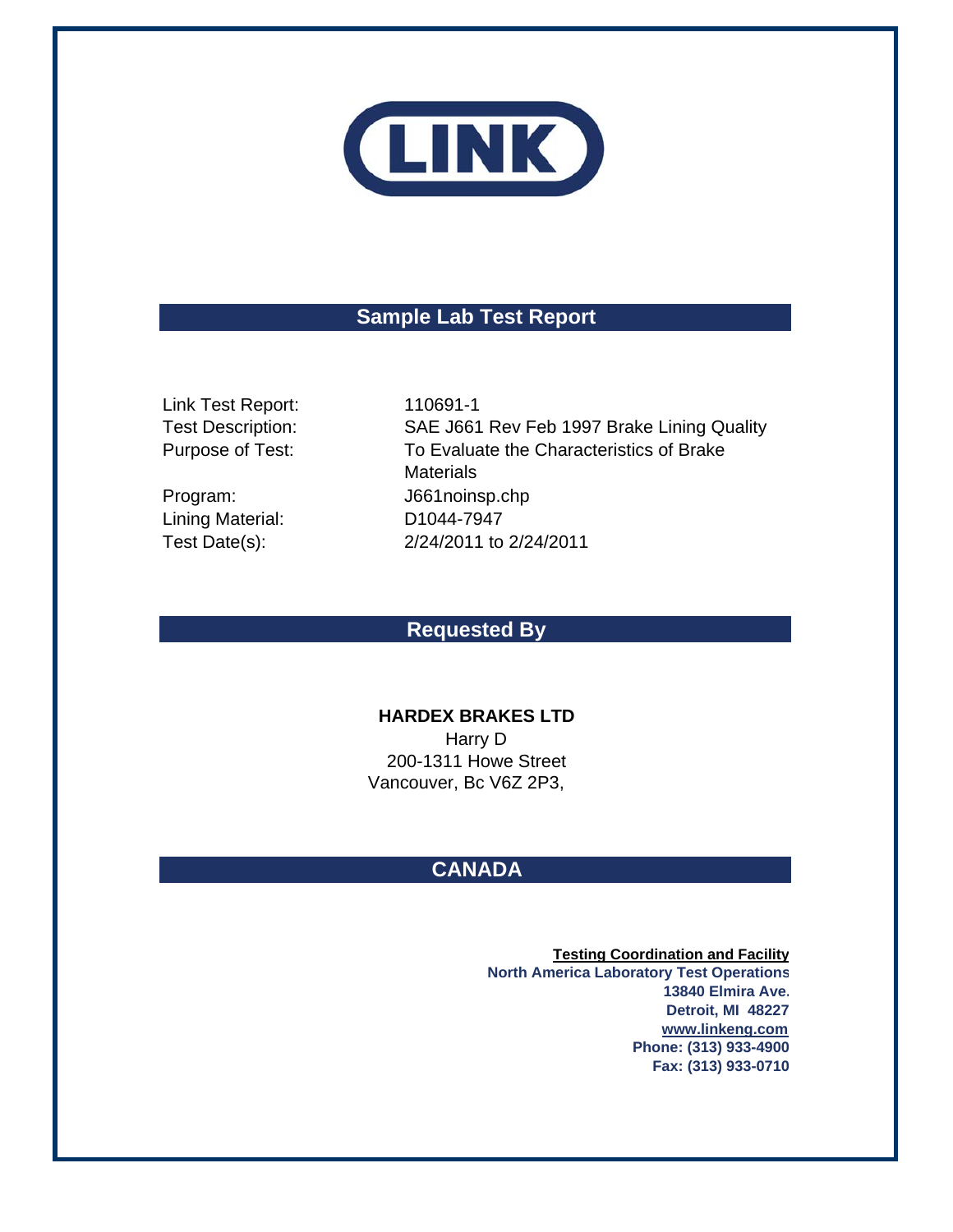

# **Sample Lab Test Report**

Link Test Report: 110691-1 Test Description: Purpose of Test:

Lining Material:

Program: J661noinsp.chp Test Date(s): 2/24/2011 to 2/24/2011 SAE J661 Rev Feb 1997 Brake Lining Quality D1044-7947 To Evaluate the Characteristics of Brake **Materials** 

## **Requested By**

### **HARDEX BRAKES LTD**

Vancouver, Bc V6Z 2P3, Harry D 200-1311 Howe Street

# **CANADA**

**Testing Coordination and Facility North America Laboratory Test Operations 13840 Elmira Ave. Detroit, MI 48227 www.linkeng.com Phone: (313) 933-4900 Fax: (313) 933-0710**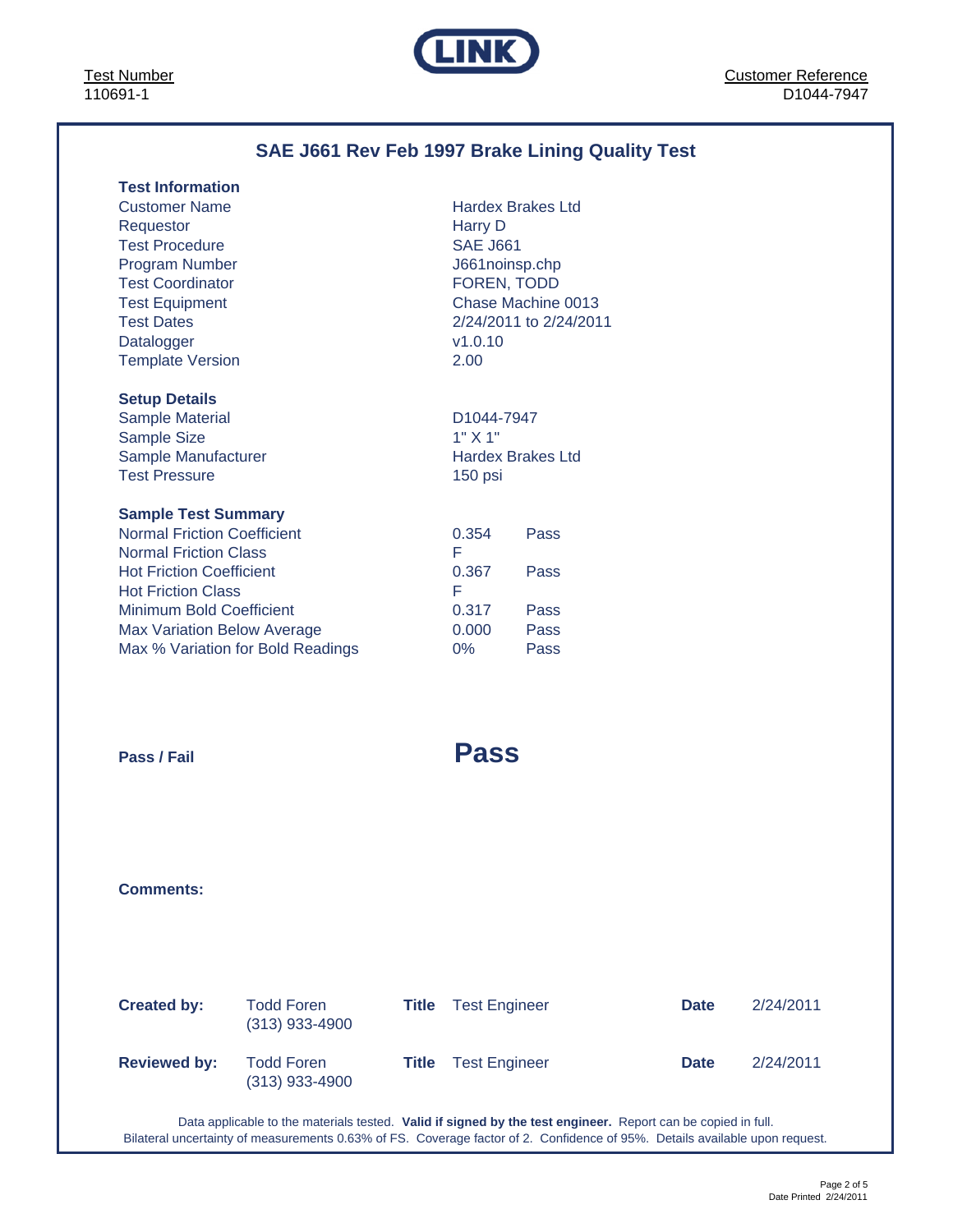Test Number 110691-1



# **SAE J661 Rev Feb 1997 Brake Lining Quality Test**

| <b>Test Information</b>            |                         |                          |
|------------------------------------|-------------------------|--------------------------|
| <b>Customer Name</b>               |                         | <b>Hardex Brakes Ltd</b> |
| Requestor                          | Harry D                 |                          |
| <b>Test Procedure</b>              | <b>SAE J661</b>         |                          |
| <b>Program Number</b>              | J661noinsp.chp          |                          |
| <b>Test Coordinator</b>            | FOREN, TODD             |                          |
| <b>Test Equipment</b>              |                         | Chase Machine 0013       |
| <b>Test Dates</b>                  |                         | 2/24/2011 to 2/24/2011   |
| Datalogger                         | v1.0.10                 |                          |
| <b>Template Version</b>            | 2.00                    |                          |
|                                    |                         |                          |
| <b>Setup Details</b>               |                         |                          |
| <b>Sample Material</b>             | D <sub>1044</sub> -7947 |                          |
| Sample Size                        | 1" X 1"                 |                          |
| Sample Manufacturer                |                         | <b>Hardex Brakes Ltd</b> |
| <b>Test Pressure</b>               | 150 psi                 |                          |
| <b>Sample Test Summary</b>         |                         |                          |
| <b>Normal Friction Coefficient</b> | 0.354                   | Pass                     |
| <b>Normal Friction Class</b>       | F                       |                          |
| <b>Hot Friction Coefficient</b>    | 0.367                   | Pass                     |
| <b>Hot Friction Class</b>          | F                       |                          |
| <b>Minimum Bold Coefficient</b>    | 0.317                   | Pass                     |
| <b>Max Variation Below Average</b> | 0.000                   | Pass                     |
| Max % Variation for Bold Readings  |                         |                          |
|                                    | 0%                      | Pass                     |
|                                    |                         |                          |
|                                    |                         |                          |
|                                    |                         |                          |
|                                    |                         |                          |
| Pass / Fail                        | <b>Pass</b>             |                          |
|                                    |                         |                          |

**Comments:**

| <b>Created by:</b>  | <b>Todd Foren</b><br>$(313)$ 933-4900 | Title | <b>Test Engineer</b>       | <b>Date</b> | 2/24/2011 |
|---------------------|---------------------------------------|-------|----------------------------|-------------|-----------|
| <b>Reviewed by:</b> | <b>Todd Foren</b><br>$(313)$ 933-4900 |       | <b>Title</b> Test Engineer | <b>Date</b> | 2/24/2011 |

Data applicable to the materials tested. **Valid if signed by the test engineer.** Report can be copied in full. Bilateral uncertainty of measurements 0.63% of FS. Coverage factor of 2. Confidence of 95%. Details available upon request.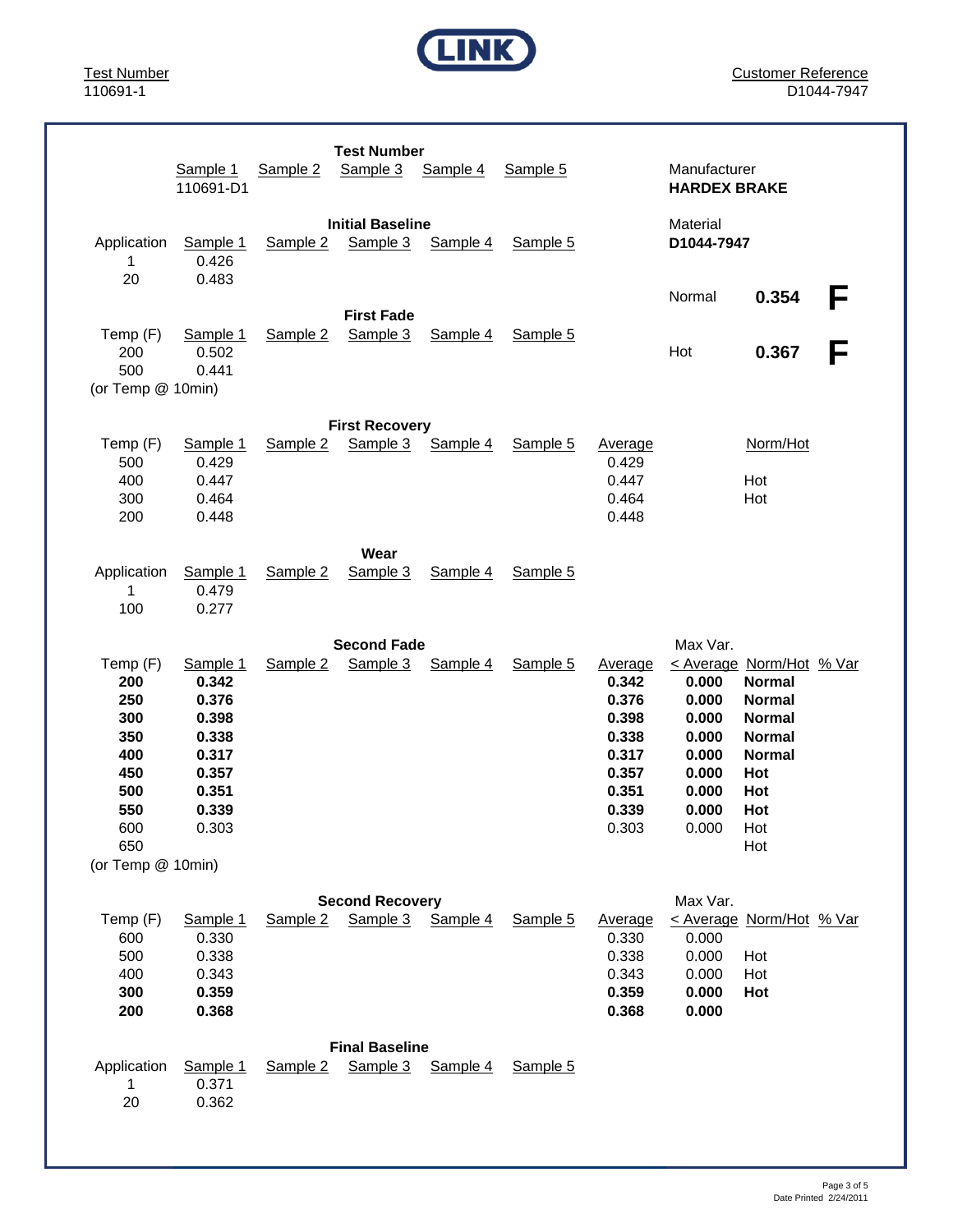

Customer Reference D1044-7947

|                                                                         | Sample 1<br>110691-D1                                                                     | Sample 2 | <b>Test Number</b><br>Sample 3      | Sample 4 | Sample 5 |                                                                                                 | Manufacturer<br><b>HARDEX BRAKE</b>                                           |                                                                                                                                           |        |
|-------------------------------------------------------------------------|-------------------------------------------------------------------------------------------|----------|-------------------------------------|----------|----------|-------------------------------------------------------------------------------------------------|-------------------------------------------------------------------------------|-------------------------------------------------------------------------------------------------------------------------------------------|--------|
| Application<br>$\mathbf 1$<br>20                                        | Sample 1<br>0.426<br>0.483                                                                | Sample 2 | <b>Initial Baseline</b><br>Sample 3 | Sample 4 | Sample 5 |                                                                                                 | Material<br>D1044-7947                                                        |                                                                                                                                           |        |
| Temp (F)<br>200<br>500<br>(or Temp @ 10min)                             | Sample 1<br>0.502<br>0.441                                                                | Sample 2 | <b>First Fade</b><br>Sample 3       | Sample 4 | Sample 5 |                                                                                                 | Normal<br>Hot                                                                 | 0.354<br>0.367                                                                                                                            | F<br>F |
|                                                                         |                                                                                           |          | <b>First Recovery</b>               |          |          |                                                                                                 |                                                                               |                                                                                                                                           |        |
| Temp (F)<br>500<br>400<br>300<br>200                                    | Sample 1<br>0.429<br>0.447<br>0.464<br>0.448                                              | Sample 2 | Sample 3                            | Sample 4 | Sample 5 | Average<br>0.429<br>0.447<br>0.464<br>0.448                                                     |                                                                               | Norm/Hot<br>Hot<br>Hot                                                                                                                    |        |
|                                                                         |                                                                                           |          | Wear                                |          |          |                                                                                                 |                                                                               |                                                                                                                                           |        |
| Application<br>1<br>100                                                 | Sample 1<br>0.479<br>0.277                                                                | Sample 2 | Sample 3                            | Sample 4 | Sample 5 |                                                                                                 |                                                                               |                                                                                                                                           |        |
|                                                                         |                                                                                           |          | <b>Second Fade</b>                  |          |          |                                                                                                 | Max Var.                                                                      |                                                                                                                                           |        |
| Temp (F)<br>200<br>250<br>300<br>350<br>400<br>450<br>500<br>550<br>600 | Sample 1<br>0.342<br>0.376<br>0.398<br>0.338<br>0.317<br>0.357<br>0.351<br>0.339<br>0.303 | Sample 2 | Sample 3                            | Sample 4 | Sample 5 | <b>Average</b><br>0.342<br>0.376<br>0.398<br>0.338<br>0.317<br>0.357<br>0.351<br>0.339<br>0.303 | 0.000<br>0.000<br>0.000<br>0.000<br>0.000<br>0.000<br>0.000<br>0.000<br>0.000 | < Average Norm/Hot % Var<br><b>Normal</b><br><b>Normal</b><br><b>Normal</b><br><b>Normal</b><br><b>Normal</b><br>Hot<br>Hot<br>Hot<br>Hot |        |
| 650<br>(or Temp @ 10min)                                                |                                                                                           |          |                                     |          |          |                                                                                                 |                                                                               | Hot                                                                                                                                       |        |
|                                                                         |                                                                                           |          |                                     |          |          |                                                                                                 |                                                                               |                                                                                                                                           |        |
| Temp (F)<br>600<br>500<br>400<br>300<br>200                             | Sample 1<br>0.330<br>0.338<br>0.343<br>0.359<br>0.368                                     | Sample 2 | <b>Second Recovery</b><br>Sample 3  | Sample 4 | Sample 5 | Average<br>0.330<br>0.338<br>0.343<br>0.359<br>0.368                                            | Max Var.<br>0.000<br>0.000<br>0.000<br>0.000<br>0.000                         | < Average Norm/Hot % Var<br>Hot<br>Hot<br>Hot                                                                                             |        |
| Application<br>1<br>20                                                  | Sample 1<br>0.371<br>0.362                                                                | Sample 2 | <b>Final Baseline</b><br>Sample 3   | Sample 4 | Sample 5 |                                                                                                 |                                                                               |                                                                                                                                           |        |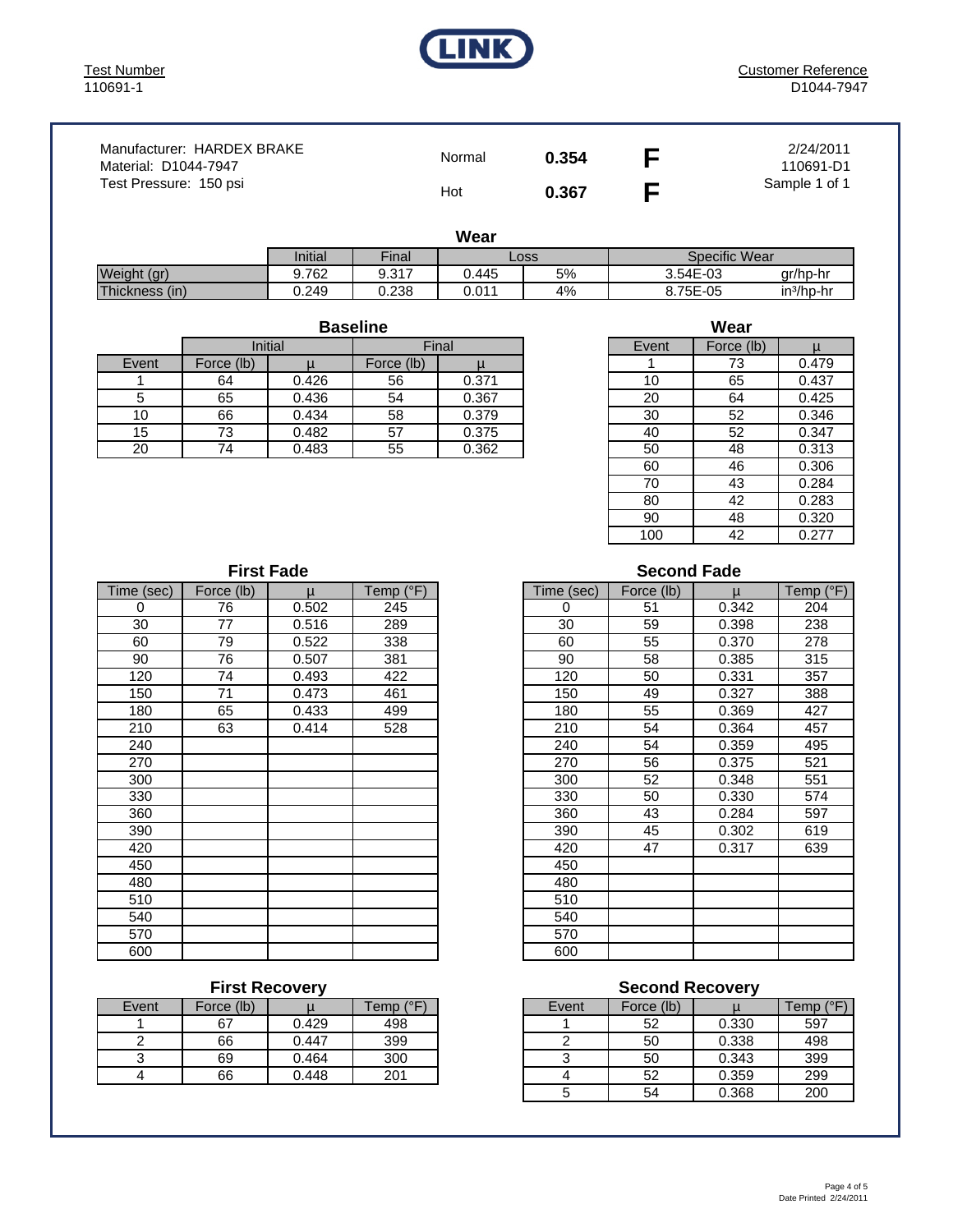

| Manufacturer: HARDEX BRAKE<br>Material: D1044-7947 | Normal | 0.354 | 2/24/2011<br>110691-D1 |
|----------------------------------------------------|--------|-------|------------------------|
| Test Pressure: 150 psi                             | Hot    | 0.367 | Sample 1 of 1          |

| I<br>v<br>v<br>× |  |
|------------------|--|
|------------------|--|

|                | Initial | <b>Final</b> | Loss  |    | Specific Wear |              |  |  |
|----------------|---------|--------------|-------|----|---------------|--------------|--|--|
| Weight (gr)    | 9.762   | 9.317        | ა.445 | 5% | 3.54E-03      | ar/hp-hr     |  |  |
| Thickness (in) | 0.249   | 0.238        | 0.01' | 4% | 8.75E-05      | $in3/hD$ -hr |  |  |

Event | Force (lb)  $\vert \qquad \mu \qquad \vert$  Force (lb)  $\vert \qquad \mu \vert$ 1 64 0.426 56 0.371 10 65 0.437 5 65 0.436 54 0.367 20 64 0.425 10 66 0.434 58 0.379 130 52 0.346 15 73 0.482 57 0.375 40 52 0.347 20 74 0.483 55 0.362 50 48 0.313 **Baseline** Initial | Final

| Wear  |            |       |  |  |  |  |  |  |
|-------|------------|-------|--|--|--|--|--|--|
| Event | Force (lb) |       |  |  |  |  |  |  |
|       | 73         | 0.479 |  |  |  |  |  |  |
| 10    | 65         | 0.437 |  |  |  |  |  |  |
| 20    | 64         | 0.425 |  |  |  |  |  |  |
| 30    | 52         | 0.346 |  |  |  |  |  |  |
| 40    | 52         | 0.347 |  |  |  |  |  |  |
| 50    | 48         | 0.313 |  |  |  |  |  |  |
| 60    | 46         | 0.306 |  |  |  |  |  |  |
| 70    | 43         | 0.284 |  |  |  |  |  |  |
| 80    | 42         | 0.283 |  |  |  |  |  |  |
| 90    | 48         | 0.320 |  |  |  |  |  |  |
| 100   | 42         | 0.277 |  |  |  |  |  |  |

| <b>First Fade</b> |            |       |           |            | <b>Second Fade</b> |       |           |
|-------------------|------------|-------|-----------|------------|--------------------|-------|-----------|
| Time (sec)        | Force (lb) | u     | Temp (°F) | Time (sec) | Force (lb)         | μ     | Temp (°F) |
| 0                 | 76         | 0.502 | 245       | $\Omega$   | 51                 | 0.342 | 204       |
| 30                | 77         | 0.516 | 289       | 30         | 59                 | 0.398 | 238       |
| 60                | 79         | 0.522 | 338       | 60         | 55                 | 0.370 | 278       |
| 90                | 76         | 0.507 | 381       | 90         | 58                 | 0.385 | 315       |
| 120               | 74         | 0.493 | 422       | 120        | 50                 | 0.331 | 357       |
| 150               | 71         | 0.473 | 461       | 150        | 49                 | 0.327 | 388       |
| 180               | 65         | 0.433 | 499       | 180        | 55                 | 0.369 | 427       |
| 210               | 63         | 0.414 | 528       | 210        | 54                 | 0.364 | 457       |
| 240               |            |       |           | 240        | 54                 | 0.359 | 495       |
| 270               |            |       |           | 270        | 56                 | 0.375 | 521       |
| 300               |            |       |           | 300        | 52                 | 0.348 | 551       |
| 330               |            |       |           | 330        | 50                 | 0.330 | 574       |
| 360               |            |       |           | 360        | 43                 | 0.284 | 597       |
| 390               |            |       |           | 390        | 45                 | 0.302 | 619       |
| 420               |            |       |           | 420        | 47                 | 0.317 | 639       |
| 450               |            |       |           | 450        |                    |       |           |
| 480               |            |       |           | 480        |                    |       |           |
| 510               |            |       |           | 510        |                    |       |           |
| 540               |            |       |           | 540        |                    |       |           |
| 570               |            |       |           | 570        |                    |       |           |
| 600               |            |       |           | 600        |                    |       |           |

| Event | Force (lb) |       | Temp (°F) |
|-------|------------|-------|-----------|
|       | 67         | 0.429 | 498       |
|       | 66         | 0.447 | 399       |
|       | 69         | 0.464 | 300       |
|       | 66         | 0.448 | 201       |

#### **Second Fade**

| ie (sec)         | Force (lb) | $\mathsf{u}$ | Temp $(^{\circ}F)$ | Time (sec) | Force (lb) | $\mathsf{u}$ | Temp $(^{\circ}F)$ |
|------------------|------------|--------------|--------------------|------------|------------|--------------|--------------------|
| $\overline{0}$   | 76         | 0.502        | 245                | 0          | 51         | 0.342        | 204                |
| 30               | 77         | 0.516        | 289                | 30         | 59         | 0.398        | 238                |
| 60               | 79         | 0.522        | 338                | 60         | 55         | 0.370        | 278                |
| 90               | 76         | 0.507        | 381                | 90         | 58         | 0.385        | 315                |
| 120              | 74         | 0.493        | 422                | 120        | 50         | 0.331        | 357                |
| 150              | 71         | 0.473        | 461                | 150        | 49         | 0.327        | 388                |
| 180              | 65         | 0.433        | 499                | 180        | 55         | 0.369        | 427                |
| $\overline{210}$ | 63         | 0.414        | 528                | 210        | 54         | 0.364        | 457                |
| 240              |            |              |                    | 240        | 54         | 0.359        | 495                |
| 270              |            |              |                    | 270        | 56         | 0.375        | 521                |
| $\overline{300}$ |            |              |                    | 300        | 52         | 0.348        | 551                |
| $\overline{330}$ |            |              |                    | 330        | 50         | 0.330        | 574                |
| 360              |            |              |                    | 360        | 43         | 0.284        | 597                |
| $\overline{390}$ |            |              |                    | 390        | 45         | 0.302        | 619                |
| 420              |            |              |                    | 420        | 47         | 0.317        | 639                |
| 450              |            |              |                    | 450        |            |              |                    |
| 480              |            |              |                    | 480        |            |              |                    |
| 510              |            |              |                    | 510        |            |              |                    |
| $\overline{540}$ |            |              |                    | 540        |            |              |                    |
| 570              |            |              |                    | 570        |            |              |                    |
| 600              |            |              |                    | 600        |            |              |                    |

#### **First Recovery Community Community Second Recovery**

| Event | Force (lb) |       | $(^{\circ}F)$<br>Геmр ( | Event | Force (lb) |       | (°F)<br>⊺emp |
|-------|------------|-------|-------------------------|-------|------------|-------|--------------|
|       | 67         | 0.429 | 498                     |       | 52         | 0.330 | 597          |
|       | 66         | 0.447 | 399                     |       | 50         | 0.338 | 498          |
|       | 69         | 0.464 | 300                     |       | 50         | 0.343 | 399          |
|       | 66         | 0.448 | 201                     |       | 52         | 0.359 | 299          |
|       |            |       |                         |       | 54         | 0.368 | 200          |